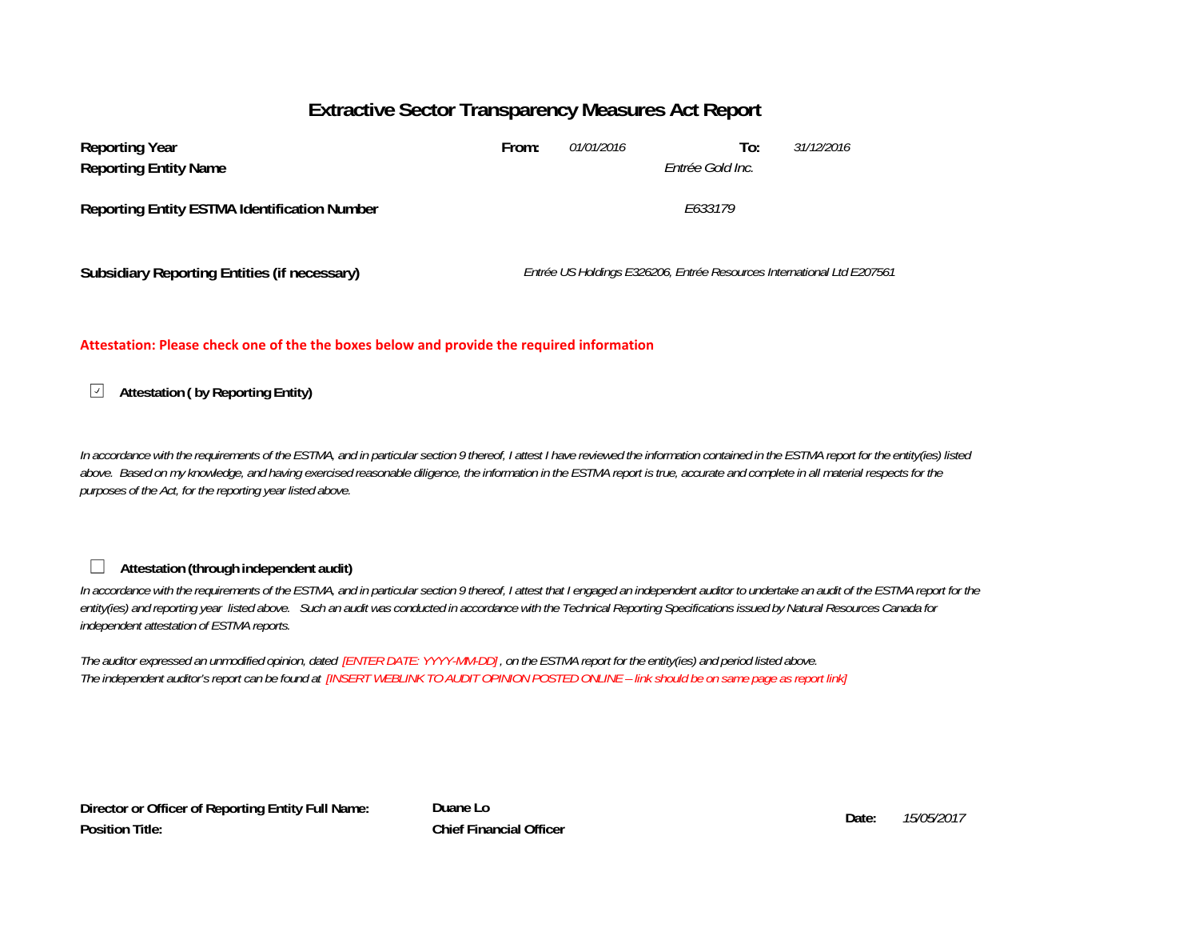# **Extractive Sector Transparency Measures Act Report**

| <b>Reporting Year</b>                               | From:            | <i>01/01/2016</i> | To:                                                                   | 31/12/2016 |  |  |
|-----------------------------------------------------|------------------|-------------------|-----------------------------------------------------------------------|------------|--|--|
| <b>Reporting Entity Name</b>                        | Entrée Gold Inc. |                   |                                                                       |            |  |  |
| <b>Reporting Entity ESTMA Identification Number</b> | E633179          |                   |                                                                       |            |  |  |
|                                                     |                  |                   |                                                                       |            |  |  |
| Subsidiary Reporting Entities (if necessary)        |                  |                   | Entrée US Holdings E326206, Entrée Resources International Ltd E20756 |            |  |  |
|                                                     |                  |                   |                                                                       |            |  |  |

## **Attestation: Please check one of the the boxes below and provide the required information**

#### $\sqrt{ }$ **Attestation ( by Reporting Entity)**

*In accordance with the requirements of the ESTMA, and in particular section 9 thereof, I attest I have reviewed the information contained in the ESTMA report for the entity(ies) listed*  above. Based on my knowledge, and having exercised reasonable diligence, the information in the ESTMA report is true, accurate and complete in all material respects for the *purposes of the Act, for the reporting year listed above.* 

#### **Attestation (through independent audit)** $\Box$

In accordance with the requirements of the ESTMA, and in particular section 9 thereof, I attest that I engaged an independent auditor to undertake an audit of the ESTMA report for the *entity(ies) and reporting year listed above. Such an audit was conducted in accordance with the Technical Reporting Specifications issued by Natural Resources Canada for independent attestation of ESTMA reports.* 

*The auditor expressed an unmodified opinion, dated [ENTER DATE: YYYY-MM-DD] , on the ESTMA report for the entity(ies) and period listed above. The independent auditor's report can be found at [INSERT WEBLINK TO AUDIT OPINION POSTED ONLINE – link should be on same page as report link]* 

**Director or Officer of Reporting Entity Full Name: Position Title:**

**Duane Lo Date:Chief Financial Officer**

*15/05/2017*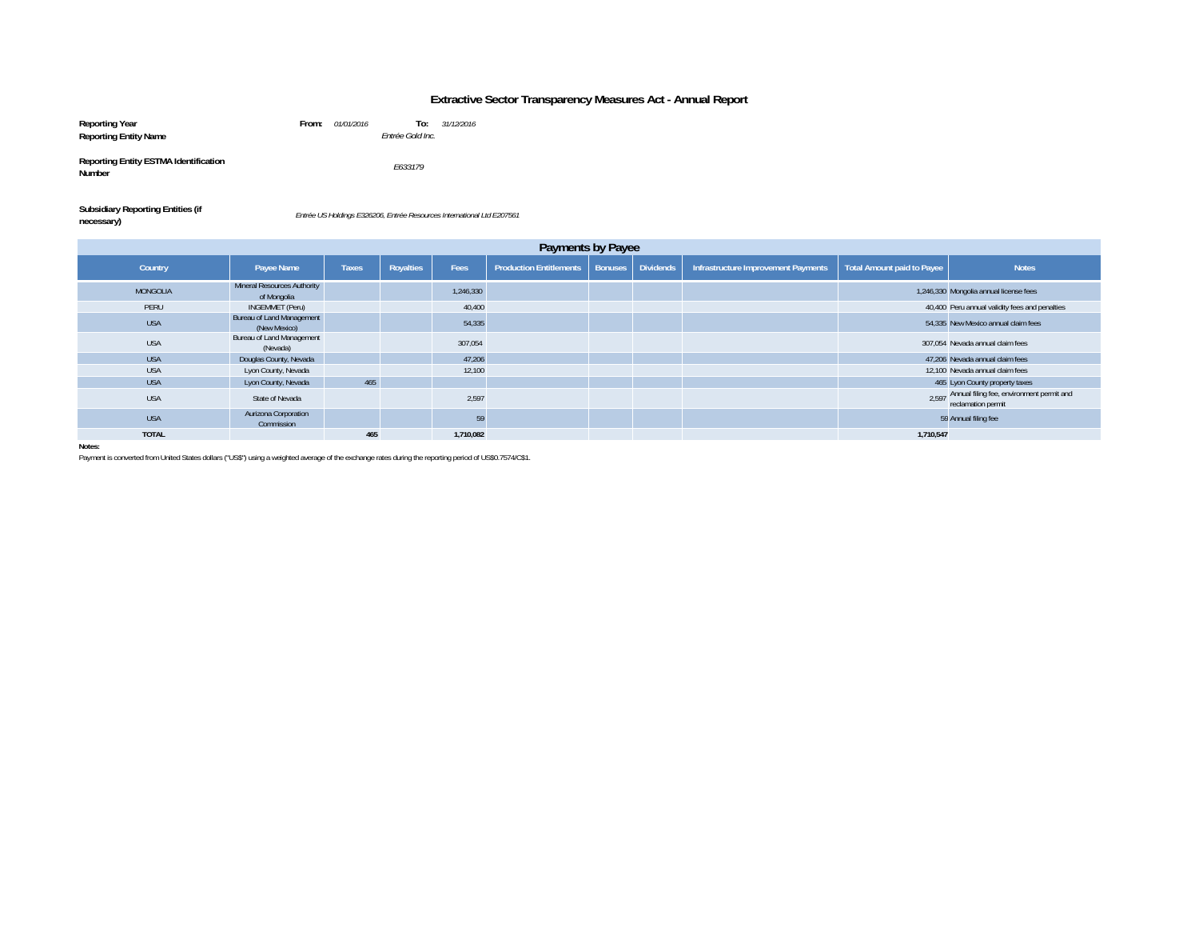# **Extractive Sector Transparency Measures Act - Annual Report**

| Reporting Year<br><b>Reporting Entity Name</b>         | From: | 01/01/2016 | To:<br>Entrée Gold Inc. | 31/12/2016 |
|--------------------------------------------------------|-------|------------|-------------------------|------------|
| <b>Reporting Entity ESTMA Identification</b><br>Number |       |            | F633179                 |            |

### **Subsidiary Reporting Entities (if necessary)**

*Entrée US Holdings E326206, Entrée Resources International Ltd E207561*

| Payments by Payee |                                            |              |           |           |                                |  |                   |                                     |                            |                                                                       |
|-------------------|--------------------------------------------|--------------|-----------|-----------|--------------------------------|--|-------------------|-------------------------------------|----------------------------|-----------------------------------------------------------------------|
| Country           | Payee Name                                 | <b>Taxes</b> | Royalties | Fees      | <b>Production Entitlements</b> |  | Bonuses Dividends | Infrastructure Improvement Payments | Total Amount paid to Payee | <b>Notes</b>                                                          |
| <b>MONGOLIA</b>   | Mineral Resources Authority<br>of Mongolia |              |           | 1,246,330 |                                |  |                   |                                     |                            | 1,246,330 Mongolia annual license fees                                |
| PERU              | INGEMMET (Peru)                            |              |           | 40,400    |                                |  |                   |                                     |                            | 40,400 Peru annual validity fees and penalties                        |
| <b>USA</b>        | Bureau of Land Management<br>(New Mexico)  |              |           | 54,335    |                                |  |                   |                                     |                            | 54.335 New Mexico annual claim fees                                   |
| <b>USA</b>        | Bureau of Land Management<br>(Nevada)      |              |           | 307,054   |                                |  |                   |                                     |                            | 307.054 Nevada annual claim fees                                      |
| <b>USA</b>        | Douglas County, Nevada                     |              |           | 47,206    |                                |  |                   |                                     |                            | 47,206 Nevada annual claim fees                                       |
| <b>USA</b>        | Lyon County, Nevada                        |              |           | 12,100    |                                |  |                   |                                     |                            | 12.100 Nevada annual claim fees                                       |
| <b>USA</b>        | Lyon County, Nevada                        | 465          |           |           |                                |  |                   |                                     |                            | 465 Lyon County property taxes                                        |
| <b>USA</b>        | State of Nevada                            |              |           | 2,597     |                                |  |                   |                                     |                            | 2,597 Annual filing fee, environment permit and<br>reclamation permit |
| <b>USA</b>        | Aurizona Corporation<br>Commission         |              |           | 59        |                                |  |                   |                                     |                            | 59 Annual filing fee                                                  |
| <b>TOTAL</b>      |                                            | 465          |           | 1,710,082 |                                |  |                   |                                     | 1,710,547                  |                                                                       |

**Notes:**

Payment is converted from United States dollars ("US\$") using a weighted average of the exchange rates during the reporting period of US\$0.7574/C\$1.